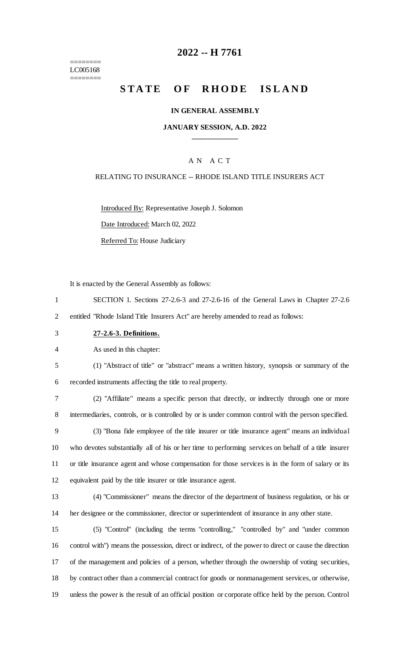======== LC005168 ========

## **-- H 7761**

# **STATE OF RHODE ISLAND**

#### **IN GENERAL ASSEMBLY**

#### **JANUARY SESSION, A.D. 2022 \_\_\_\_\_\_\_\_\_\_\_\_**

### A N A C T

### RELATING TO INSURANCE -- RHODE ISLAND TITLE INSURERS ACT

Introduced By: Representative Joseph J. Solomon

Date Introduced: March 02, 2022

Referred To: House Judiciary

It is enacted by the General Assembly as follows:

 SECTION 1. Sections 27-2.6-3 and 27-2.6-16 of the General Laws in Chapter 27-2.6 entitled "Rhode Island Title Insurers Act" are hereby amended to read as follows:

**27-2.6-3. Definitions.**

As used in this chapter:

 (1) "Abstract of title" or "abstract" means a written history, synopsis or summary of the recorded instruments affecting the title to real property.

 (2) "Affiliate" means a specific person that directly, or indirectly through one or more intermediaries, controls, or is controlled by or is under common control with the person specified.

 (3) "Bona fide employee of the title insurer or title insurance agent" means an individual who devotes substantially all of his or her time to performing services on behalf of a title insurer or title insurance agent and whose compensation for those services is in the form of salary or its equivalent paid by the title insurer or title insurance agent.

 (4) "Commissioner" means the director of the department of business regulation, or his or her designee or the commissioner, director or superintendent of insurance in any other state.

 (5) "Control" (including the terms "controlling," "controlled by" and "under common control with") means the possession, direct or indirect, of the power to direct or cause the direction of the management and policies of a person, whether through the ownership of voting securities, by contract other than a commercial contract for goods or nonmanagement services, or otherwise, unless the power is the result of an official position or corporate office held by the person. Control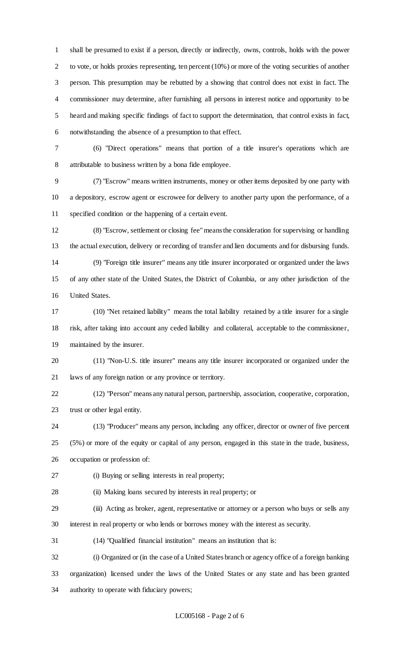shall be presumed to exist if a person, directly or indirectly, owns, controls, holds with the power to vote, or holds proxies representing, ten percent (10%) or more of the voting securities of another person. This presumption may be rebutted by a showing that control does not exist in fact. The commissioner may determine, after furnishing all persons in interest notice and opportunity to be heard and making specific findings of fact to support the determination, that control exists in fact, notwithstanding the absence of a presumption to that effect.

 (6) "Direct operations" means that portion of a title insurer's operations which are attributable to business written by a bona fide employee.

 (7) "Escrow" means written instruments, money or other items deposited by one party with a depository, escrow agent or escrowee for delivery to another party upon the performance, of a specified condition or the happening of a certain event.

 (8) "Escrow, settlement or closing fee" means the consideration for supervising or handling the actual execution, delivery or recording of transfer and lien documents and for disbursing funds. (9) "Foreign title insurer" means any title insurer incorporated or organized under the laws of any other state of the United States, the District of Columbia, or any other jurisdiction of the

United States.

 (10) "Net retained liability" means the total liability retained by a title insurer for a single risk, after taking into account any ceded liability and collateral, acceptable to the commissioner, maintained by the insurer.

 (11) "Non-U.S. title insurer" means any title insurer incorporated or organized under the laws of any foreign nation or any province or territory.

 (12) "Person" means any natural person, partnership, association, cooperative, corporation, trust or other legal entity.

 (13) "Producer" means any person, including any officer, director or owner of five percent (5%) or more of the equity or capital of any person, engaged in this state in the trade, business, occupation or profession of:

(i) Buying or selling interests in real property;

(ii) Making loans secured by interests in real property; or

 (iii) Acting as broker, agent, representative or attorney or a person who buys or sells any interest in real property or who lends or borrows money with the interest as security.

(14) "Qualified financial institution" means an institution that is:

 (i) Organized or (in the case of a United States branch or agency office of a foreign banking organization) licensed under the laws of the United States or any state and has been granted authority to operate with fiduciary powers;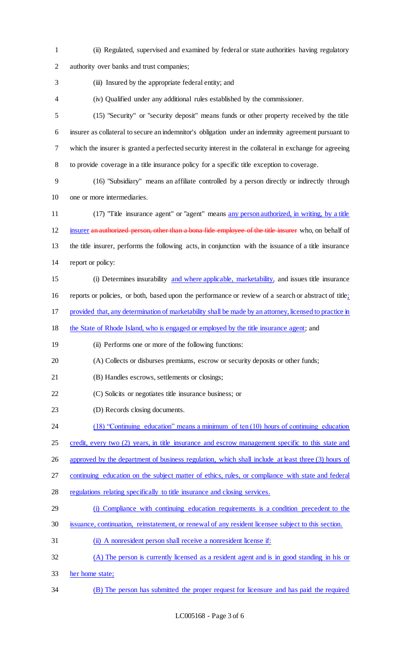(ii) Regulated, supervised and examined by federal or state authorities having regulatory authority over banks and trust companies; (iii) Insured by the appropriate federal entity; and (iv) Qualified under any additional rules established by the commissioner. (15) "Security" or "security deposit" means funds or other property received by the title insurer as collateral to secure an indemnitor's obligation under an indemnity agreement pursuant to which the insurer is granted a perfected security interest in the collateral in exchange for agreeing to provide coverage in a title insurance policy for a specific title exception to coverage. (16) "Subsidiary" means an affiliate controlled by a person directly or indirectly through one or more intermediaries. 11 (17) "Title insurance agent" or "agent" means any person authorized, in writing, by a title 12 insurer an authorized person, other than a bona fide employee of the title insurer who, on behalf of the title insurer, performs the following acts, in conjunction with the issuance of a title insurance report or policy: (i) Determines insurability and where applicable, marketability, and issues title insurance reports or policies, or both, based upon the performance or review of a search or abstract of title; provided that, any determination of marketability shall be made by an attorney, licensed to practice in the State of Rhode Island, who is engaged or employed by the title insurance agent; and (ii) Performs one or more of the following functions: (A) Collects or disburses premiums, escrow or security deposits or other funds; (B) Handles escrows, settlements or closings; (C) Solicits or negotiates title insurance business; or (D) Records closing documents. 24 (18) "Continuing education" means a minimum of ten (10) hours of continuing education credit, every two (2) years, in title insurance and escrow management specific to this state and 26 approved by the department of business regulation, which shall include at least three (3) hours of continuing education on the subject matter of ethics, rules, or compliance with state and federal regulations relating specifically to title insurance and closing services. (i) Compliance with continuing education requirements is a condition precedent to the issuance, continuation, reinstatement, or renewal of any resident licensee subject to this section. (ii) A nonresident person shall receive a nonresident license if: (A) The person is currently licensed as a resident agent and is in good standing in his or her home state; (B) The person has submitted the proper request for licensure and has paid the required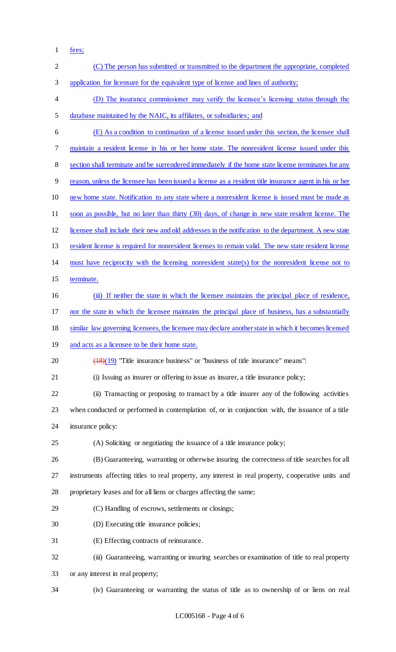fees;

| $\mathbf{2}$ | (C) The person has submitted or transmitted to the department the appropriate, completed                |
|--------------|---------------------------------------------------------------------------------------------------------|
| 3            | application for licensure for the equivalent type of license and lines of authority;                    |
| 4            | (D) The insurance commissioner may verify the licensee's licensing status through the                   |
| 5            | database maintained by the NAIC, its affiliates, or subsidiaries; and                                   |
| 6            | (E) As a condition to continuation of a license issued under this section, the licensee shall           |
| 7            | maintain a resident license in his or her home state. The nonresident license issued under this         |
| 8            | section shall terminate and be surrendered immediately if the home state license terminates for any     |
| 9            | reason, unless the licensee has been issued a license as a resident title insurance agent in his or her |
| 10           | new home state. Notification to any state where a nonresident license is issued must be made as         |
| 11           | soon as possible, but no later than thirty (30) days, of change in new state resident license. The      |
| 12           | licensee shall include their new and old addresses in the notification to the department. A new state   |
| 13           | resident license is required for nonresident licenses to remain valid. The new state resident license   |
| 14           | must have reciprocity with the licensing nonresident state(s) for the nonresident license not to        |
| 15           | terminate.                                                                                              |
| 16           | (iii) If neither the state in which the licensee maintains the principal place of residence,            |
| 17           | nor the state in which the licensee maintains the principal place of business, has a substantially      |
| 18           | similar law governing licensees, the licensee may declare another state in which it becomes licensed    |
| 19           | and acts as a licensee to be their home state.                                                          |
| 20           | $\frac{(18)(19)}{(18)(19)}$ "Title insurance business" or "business of title insurance" means":         |
| 21           | (i) Issuing as insurer or offering to issue as insurer, a title insurance policy;                       |
| 22           | (ii) Transacting or proposing to transact by a title insurer any of the following activities            |
| 23           | when conducted or performed in contemplation of, or in conjunction with, the issuance of a title        |
| 24           | insurance policy:                                                                                       |
| 25           | (A) Soliciting or negotiating the issuance of a title insurance policy;                                 |
| 26           | (B) Guaranteeing, warranting or otherwise insuring the correctness of title searches for all            |
| 27           | instruments affecting titles to real property, any interest in real property, cooperative units and     |
| 28           | proprietary leases and for all liens or charges affecting the same;                                     |
| 29           | (C) Handling of escrows, settlements or closings;                                                       |
| 30           | (D) Executing title insurance policies;                                                                 |
| 31           | (E) Effecting contracts of reinsurance.                                                                 |
| 32           | (iii) Guaranteeing, warranting or insuring searches or examination of title to real property            |
| 33           | or any interest in real property;                                                                       |
| 34           | (iv) Guaranteeing or warranting the status of title as to ownership of or liens on real                 |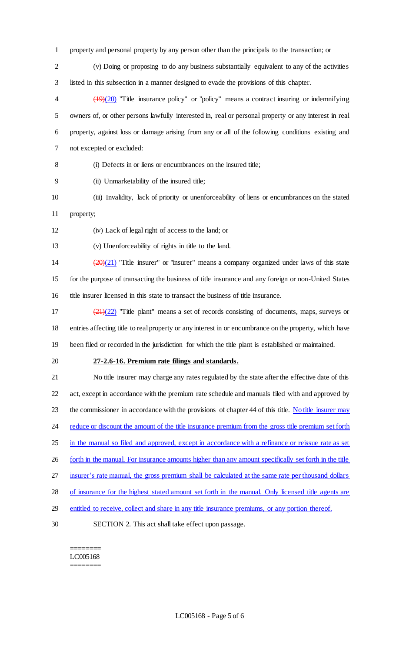- property and personal property by any person other than the principals to the transaction; or
- 

(v) Doing or proposing to do any business substantially equivalent to any of the activities

listed in this subsection in a manner designed to evade the provisions of this chapter.

 (19)(20) "Title insurance policy" or "policy" means a contract insuring or indemnifying owners of, or other persons lawfully interested in, real or personal property or any interest in real property, against loss or damage arising from any or all of the following conditions existing and not excepted or excluded:

(i) Defects in or liens or encumbrances on the insured title;

(ii) Unmarketability of the insured title;

 (iii) Invalidity, lack of priority or unenforceability of liens or encumbrances on the stated property;

(iv) Lack of legal right of access to the land; or

(v) Unenforceability of rights in title to the land.

14  $(20)(21)$  "Title insurer" or "insurer" means a company organized under laws of this state for the purpose of transacting the business of title insurance and any foreign or non-United States title insurer licensed in this state to transact the business of title insurance.

 (21)(22) "Title plant" means a set of records consisting of documents, maps, surveys or entries affecting title to real property or any interest in or encumbrance on the property, which have been filed or recorded in the jurisdiction for which the title plant is established or maintained.

#### **27-2.6-16. Premium rate filings and standards.**

 No title insurer may charge any rates regulated by the state after the effective date of this act, except in accordance with the premium rate schedule and manuals filed with and approved by 23 the commissioner in accordance with the provisions of chapter 44 of this title. No title insurer may 24 reduce or discount the amount of the title insurance premium from the gross title premium set forth in the manual so filed and approved, except in accordance with a refinance or reissue rate as set forth in the manual. For insurance amounts higher than any amount specifically set forth in the title insurer's rate manual, the gross premium shall be calculated at the same rate per thousand dollars of insurance for the highest stated amount set forth in the manual. Only licensed title agents are entitled to receive, collect and share in any title insurance premiums, or any portion thereof.

SECTION 2. This act shall take effect upon passage.

======== LC005168 ========